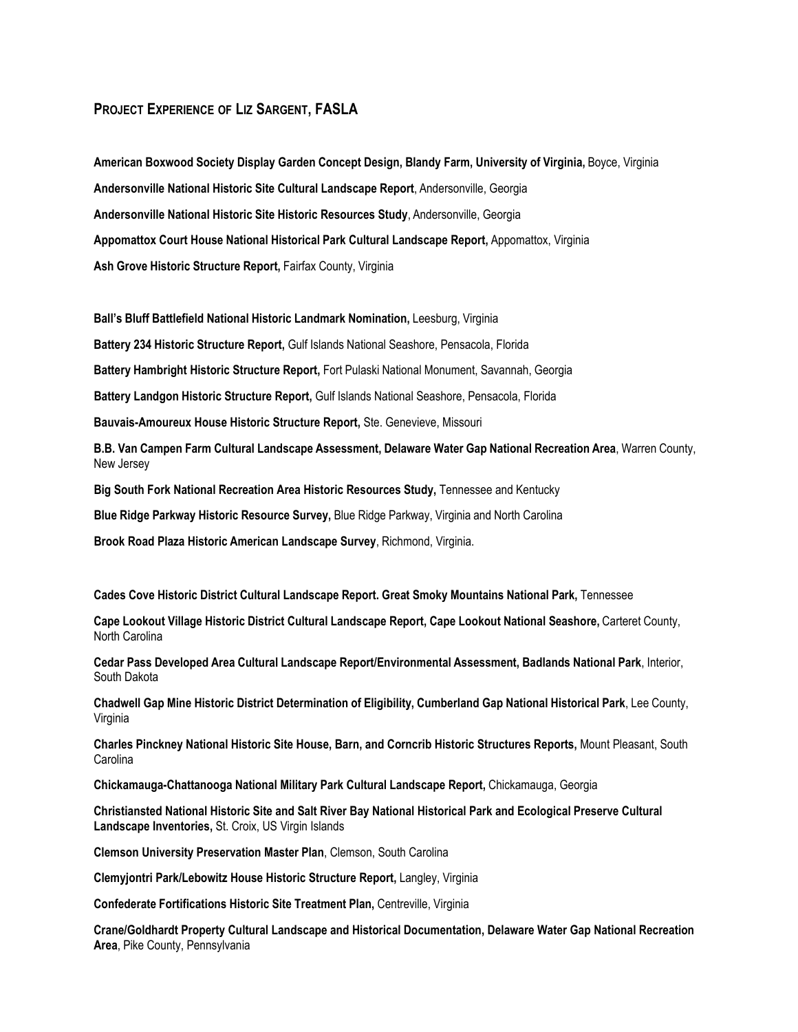## **PROJECT EXPERIENCE OF LIZ SARGENT, FASLA**

**American Boxwood Society Display Garden Concept Design, Blandy Farm, University of Virginia,** Boyce, Virginia **Andersonville National Historic Site Cultural Landscape Report**, Andersonville, Georgia **Andersonville National Historic Site Historic Resources Study**, Andersonville, Georgia **Appomattox Court House National Historical Park Cultural Landscape Report,** Appomattox, Virginia **Ash Grove Historic Structure Report,** Fairfax County, Virginia

**Ball's Bluff Battlefield National Historic Landmark Nomination,** Leesburg, Virginia

**Battery 234 Historic Structure Report,** Gulf Islands National Seashore, Pensacola, Florida

**Battery Hambright Historic Structure Report,** Fort Pulaski National Monument, Savannah, Georgia

**Battery Landgon Historic Structure Report,** Gulf Islands National Seashore, Pensacola, Florida

**Bauvais-Amoureux House Historic Structure Report,** Ste. Genevieve, Missouri

**B.B. Van Campen Farm Cultural Landscape Assessment, Delaware Water Gap National Recreation Area**, Warren County, New Jersey

**Big South Fork National Recreation Area Historic Resources Study,** Tennessee and Kentucky

**Blue Ridge Parkway Historic Resource Survey,** Blue Ridge Parkway, Virginia and North Carolina

**Brook Road Plaza Historic American Landscape Survey**, Richmond, Virginia.

**Cades Cove Historic District Cultural Landscape Report. Great Smoky Mountains National Park,** Tennessee

**Cape Lookout Village Historic District Cultural Landscape Report, Cape Lookout National Seashore,** Carteret County, North Carolina

**Cedar Pass Developed Area Cultural Landscape Report/Environmental Assessment, Badlands National Park**, Interior, South Dakota

**Chadwell Gap Mine Historic District Determination of Eligibility, Cumberland Gap National Historical Park**, Lee County, Virginia

**Charles Pinckney National Historic Site House, Barn, and Corncrib Historic Structures Reports,** Mount Pleasant, South Carolina

**Chickamauga-Chattanooga National Military Park Cultural Landscape Report,** Chickamauga, Georgia

**Christiansted National Historic Site and Salt River Bay National Historical Park and Ecological Preserve Cultural Landscape Inventories,** St. Croix, US Virgin Islands

**Clemson University Preservation Master Plan**, Clemson, South Carolina

**Clemyjontri Park/Lebowitz House Historic Structure Report,** Langley, Virginia

**Confederate Fortifications Historic Site Treatment Plan,** Centreville, Virginia

**Crane/Goldhardt Property Cultural Landscape and Historical Documentation, Delaware Water Gap National Recreation Area**, Pike County, Pennsylvania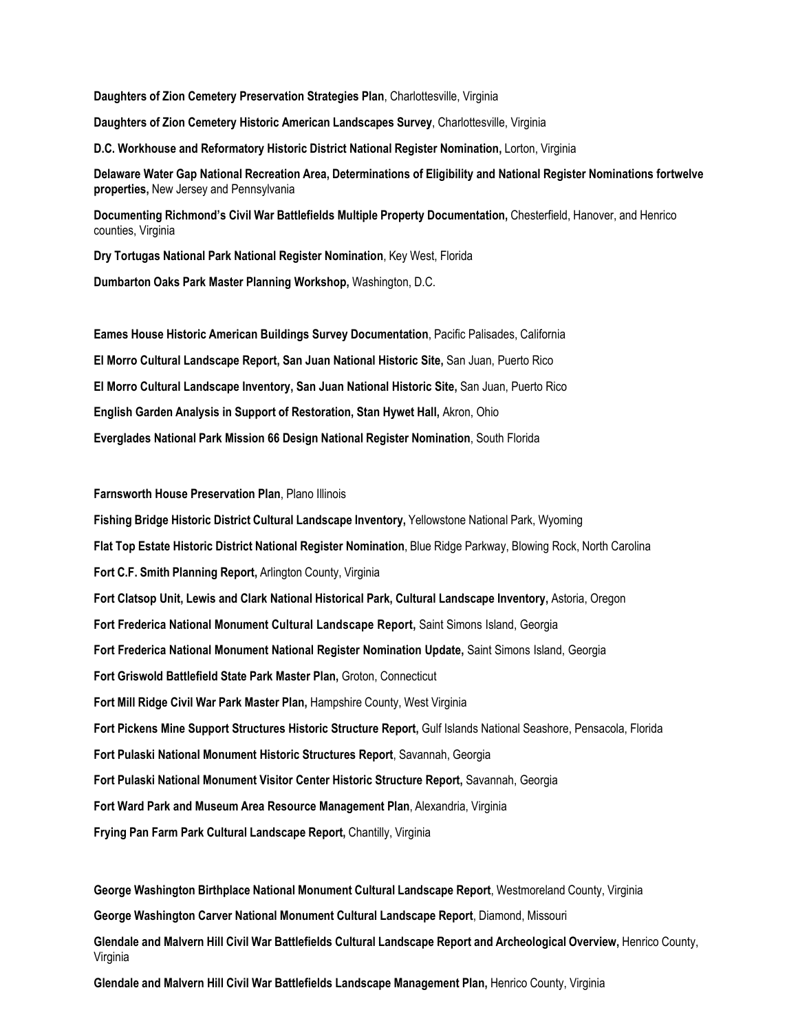**Daughters of Zion Cemetery Preservation Strategies Plan**, Charlottesville, Virginia **Daughters of Zion Cemetery Historic American Landscapes Survey**, Charlottesville, Virginia **D.C. Workhouse and Reformatory Historic District National Register Nomination,** Lorton, Virginia **Delaware Water Gap National Recreation Area, Determinations of Eligibility and National Register Nominations fortwelve properties,** New Jersey and Pennsylvania

**Documenting Richmond's Civil War Battlefields Multiple Property Documentation,** Chesterfield, Hanover, and Henrico counties, Virginia

**Dry Tortugas National Park National Register Nomination**, Key West, Florida

**Dumbarton Oaks Park Master Planning Workshop,** Washington, D.C.

**Eames House Historic American Buildings Survey Documentation**, Pacific Palisades, California **El Morro Cultural Landscape Report, San Juan National Historic Site,** San Juan, Puerto Rico **El Morro Cultural Landscape Inventory, San Juan National Historic Site,** San Juan, Puerto Rico **English Garden Analysis in Support of Restoration, Stan Hywet Hall,** Akron, Ohio **Everglades National Park Mission 66 Design National Register Nomination**, South Florida

**Farnsworth House Preservation Plan**, Plano Illinois

**Fishing Bridge Historic District Cultural Landscape Inventory,** Yellowstone National Park, Wyoming **Flat Top Estate Historic District National Register Nomination**, Blue Ridge Parkway, Blowing Rock, North Carolina **Fort C.F. Smith Planning Report,** Arlington County, Virginia **Fort Clatsop Unit, Lewis and Clark National Historical Park, Cultural Landscape Inventory,** Astoria, Oregon **Fort Frederica National Monument Cultural Landscape Report,** Saint Simons Island, Georgia **Fort Frederica National Monument National Register Nomination Update,** Saint Simons Island, Georgia **Fort Griswold Battlefield State Park Master Plan,** Groton, Connecticut **Fort Mill Ridge Civil War Park Master Plan,** Hampshire County, West Virginia **Fort Pickens Mine Support Structures Historic Structure Report,** Gulf Islands National Seashore, Pensacola, Florida **Fort Pulaski National Monument Historic Structures Report**, Savannah, Georgia **Fort Pulaski National Monument Visitor Center Historic Structure Report,** Savannah, Georgia **Fort Ward Park and Museum Area Resource Management Plan**, Alexandria, Virginia **Frying Pan Farm Park Cultural Landscape Report,** Chantilly, Virginia

**George Washington Birthplace National Monument Cultural Landscape Report**, Westmoreland County, Virginia **George Washington Carver National Monument Cultural Landscape Report**, Diamond, Missouri **Glendale and Malvern Hill Civil War Battlefields Cultural Landscape Report and Archeological Overview,** Henrico County, Virginia

**Glendale and Malvern Hill Civil War Battlefields Landscape Management Plan,** Henrico County, Virginia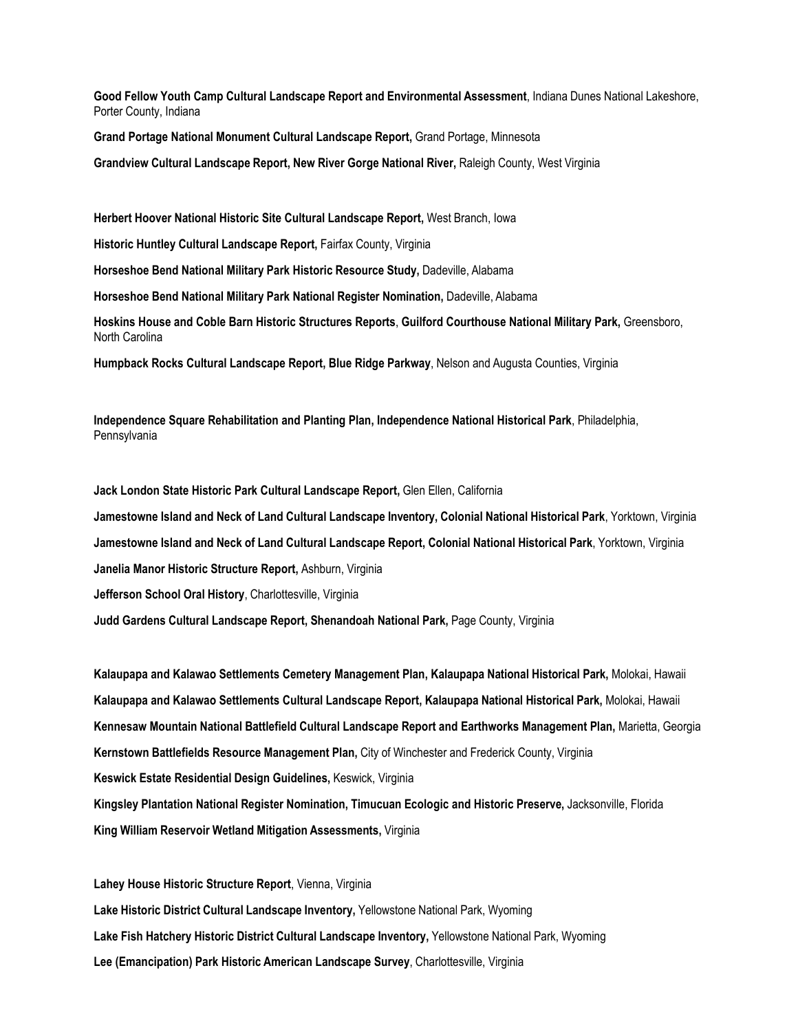**Good Fellow Youth Camp Cultural Landscape Report and Environmental Assessment**, Indiana Dunes National Lakeshore, Porter County, Indiana

**Grand Portage National Monument Cultural Landscape Report,** Grand Portage, Minnesota

**Grandview Cultural Landscape Report, New River Gorge National River,** Raleigh County, West Virginia

**Herbert Hoover National Historic Site Cultural Landscape Report,** West Branch, Iowa

**Historic Huntley Cultural Landscape Report,** Fairfax County, Virginia

**Horseshoe Bend National Military Park Historic Resource Study,** Dadeville, Alabama

**Horseshoe Bend National Military Park National Register Nomination,** Dadeville, Alabama

**Hoskins House and Coble Barn Historic Structures Reports**, **Guilford Courthouse National Military Park,** Greensboro, North Carolina

**Humpback Rocks Cultural Landscape Report, Blue Ridge Parkway**, Nelson and Augusta Counties, Virginia

**Independence Square Rehabilitation and Planting Plan, Independence National Historical Park**, Philadelphia, **Pennsylvania** 

**Jack London State Historic Park Cultural Landscape Report,** Glen Ellen, California **Jamestowne Island and Neck of Land Cultural Landscape Inventory, Colonial National Historical Park**, Yorktown, Virginia **Jamestowne Island and Neck of Land Cultural Landscape Report, Colonial National Historical Park**, Yorktown, Virginia **Janelia Manor Historic Structure Report,** Ashburn, Virginia **Jefferson School Oral History**, Charlottesville, Virginia **Judd Gardens Cultural Landscape Report, Shenandoah National Park,** Page County, Virginia

**Kalaupapa and Kalawao Settlements Cemetery Management Plan, Kalaupapa National Historical Park,** Molokai, Hawaii **Kalaupapa and Kalawao Settlements Cultural Landscape Report, Kalaupapa National Historical Park,** Molokai, Hawaii **Kennesaw Mountain National Battlefield Cultural Landscape Report and Earthworks Management Plan,** Marietta, Georgia **Kernstown Battlefields Resource Management Plan,** City of Winchester and Frederick County, Virginia **Keswick Estate Residential Design Guidelines,** Keswick, Virginia **Kingsley Plantation National Register Nomination, Timucuan Ecologic and Historic Preserve,** Jacksonville, Florida **King William Reservoir Wetland Mitigation Assessments,** Virginia

**Lahey House Historic Structure Report**, Vienna, Virginia **Lake Historic District Cultural Landscape Inventory,** Yellowstone National Park, Wyoming **Lake Fish Hatchery Historic District Cultural Landscape Inventory,** Yellowstone National Park, Wyoming **Lee (Emancipation) Park Historic American Landscape Survey**, Charlottesville, Virginia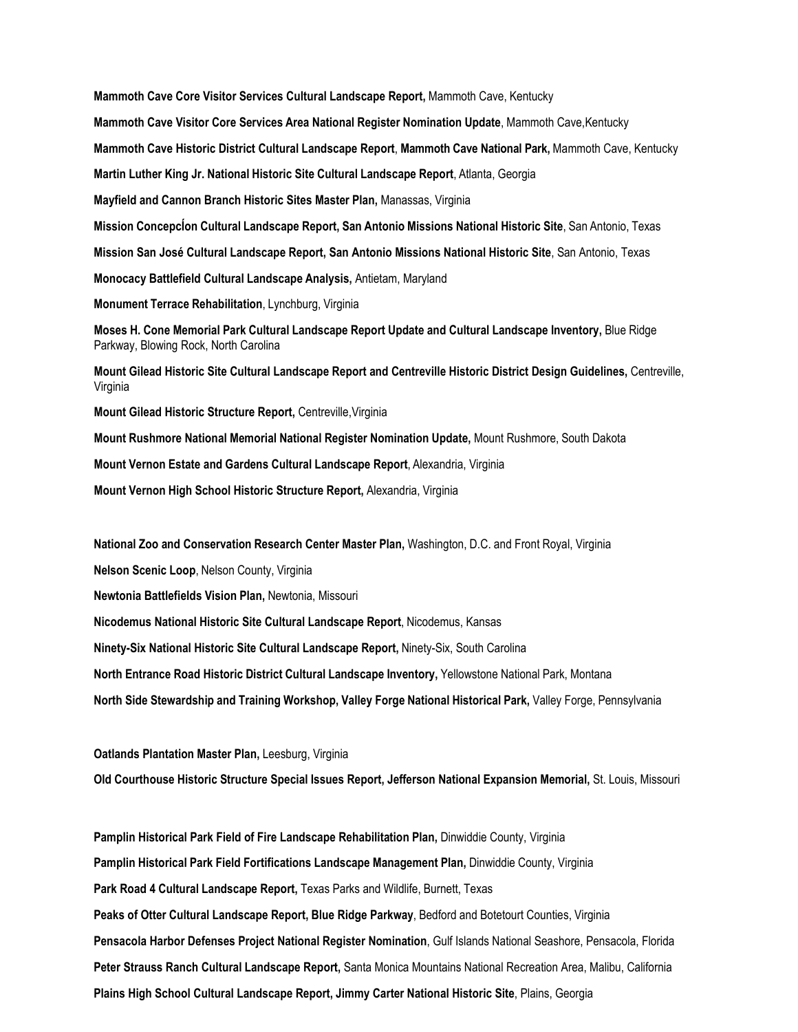**Mammoth Cave Core Visitor Services Cultural Landscape Report,** Mammoth Cave, Kentucky **Mammoth Cave Visitor Core Services Area National Register Nomination Update**, Mammoth Cave,Kentucky **Mammoth Cave Historic District Cultural Landscape Report**, **Mammoth Cave National Park,** Mammoth Cave, Kentucky **Martin Luther King Jr. National Historic Site Cultural Landscape Report**, Atlanta, Georgia **Mayfield and Cannon Branch Historic Sites Master Plan,** Manassas, Virginia **Mission ConcepcÍon Cultural Landscape Report, San Antonio Missions National Historic Site**, San Antonio, Texas **Mission San José Cultural Landscape Report, San Antonio Missions National Historic Site**, San Antonio, Texas **Monocacy Battlefield Cultural Landscape Analysis,** Antietam, Maryland **Monument Terrace Rehabilitation**, Lynchburg, Virginia **Moses H. Cone Memorial Park Cultural Landscape Report Update and Cultural Landscape Inventory,** Blue Ridge Parkway, Blowing Rock, North Carolina **Mount Gilead Historic Site Cultural Landscape Report and Centreville Historic District Design Guidelines,** Centreville, Virginia **Mount Gilead Historic Structure Report,** Centreville,Virginia **Mount Rushmore National Memorial National Register Nomination Update,** Mount Rushmore, South Dakota **Mount Vernon Estate and Gardens Cultural Landscape Report**, Alexandria, Virginia **Mount Vernon High School Historic Structure Report,** Alexandria, Virginia

**National Zoo and Conservation Research Center Master Plan,** Washington, D.C. and Front Royal, Virginia **Nelson Scenic Loop**, Nelson County, Virginia **Newtonia Battlefields Vision Plan,** Newtonia, Missouri **Nicodemus National Historic Site Cultural Landscape Report**, Nicodemus, Kansas **Ninety-Six National Historic Site Cultural Landscape Report,** Ninety-Six, South Carolina **North Entrance Road Historic District Cultural Landscape Inventory,** Yellowstone National Park, Montana **North Side Stewardship and Training Workshop, Valley Forge National Historical Park,** Valley Forge, Pennsylvania

**Oatlands Plantation Master Plan,** Leesburg, Virginia

**Old Courthouse Historic Structure Special Issues Report, Jefferson National Expansion Memorial,** St. Louis, Missouri

**Pamplin Historical Park Field of Fire Landscape Rehabilitation Plan,** Dinwiddie County, Virginia **Pamplin Historical Park Field Fortifications Landscape Management Plan,** Dinwiddie County, Virginia **Park Road 4 Cultural Landscape Report,** Texas Parks and Wildlife, Burnett, Texas **Peaks of Otter Cultural Landscape Report, Blue Ridge Parkway**, Bedford and Botetourt Counties, Virginia **Pensacola Harbor Defenses Project National Register Nomination**, Gulf Islands National Seashore, Pensacola, Florida **Peter Strauss Ranch Cultural Landscape Report,** Santa Monica Mountains National Recreation Area, Malibu, California **Plains High School Cultural Landscape Report, Jimmy Carter National Historic Site**, Plains, Georgia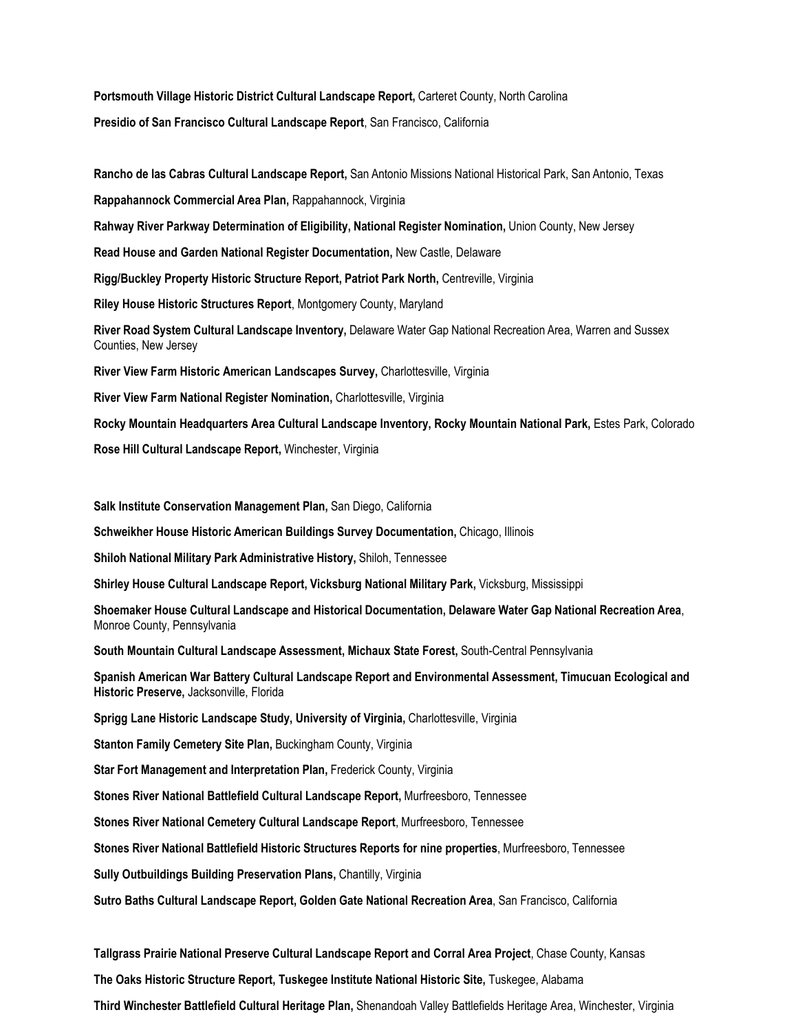**Portsmouth Village Historic District Cultural Landscape Report,** Carteret County, North Carolina **Presidio of San Francisco Cultural Landscape Report**, San Francisco, California

**Rancho de las Cabras Cultural Landscape Report,** San Antonio Missions National Historical Park, San Antonio, Texas **Rappahannock Commercial Area Plan,** Rappahannock, Virginia **Rahway River Parkway Determination of Eligibility, National Register Nomination,** Union County, New Jersey **Read House and Garden National Register Documentation,** New Castle, Delaware **Rigg/Buckley Property Historic Structure Report, Patriot Park North,** Centreville, Virginia **Riley House Historic Structures Report**, Montgomery County, Maryland **River Road System Cultural Landscape Inventory,** Delaware Water Gap National Recreation Area, Warren and Sussex Counties, New Jersey **River View Farm Historic American Landscapes Survey,** Charlottesville, Virginia **River View Farm National Register Nomination,** Charlottesville, Virginia **Rocky Mountain Headquarters Area Cultural Landscape Inventory, Rocky Mountain National Park,** Estes Park, Colorado

**Rose Hill Cultural Landscape Report,** Winchester, Virginia

**Salk Institute Conservation Management Plan,** San Diego, California

**Schweikher House Historic American Buildings Survey Documentation,** Chicago, Illinois

**Shiloh National Military Park Administrative History,** Shiloh, Tennessee

**Shirley House Cultural Landscape Report, Vicksburg National Military Park,** Vicksburg, Mississippi

**Shoemaker House Cultural Landscape and Historical Documentation, Delaware Water Gap National Recreation Area**, Monroe County, Pennsylvania

**South Mountain Cultural Landscape Assessment, Michaux State Forest,** South-Central Pennsylvania

**Spanish American War Battery Cultural Landscape Report and Environmental Assessment, Timucuan Ecological and Historic Preserve,** Jacksonville, Florida

**Sprigg Lane Historic Landscape Study, University of Virginia,** Charlottesville, Virginia

**Stanton Family Cemetery Site Plan,** Buckingham County, Virginia

**Star Fort Management and Interpretation Plan,** Frederick County, Virginia

**Stones River National Battlefield Cultural Landscape Report,** Murfreesboro, Tennessee

**Stones River National Cemetery Cultural Landscape Report**, Murfreesboro, Tennessee

**Stones River National Battlefield Historic Structures Reports for nine properties**, Murfreesboro, Tennessee

**Sully Outbuildings Building Preservation Plans,** Chantilly, Virginia

**Sutro Baths Cultural Landscape Report, Golden Gate National Recreation Area**, San Francisco, California

**Tallgrass Prairie National Preserve Cultural Landscape Report and Corral Area Project**, Chase County, Kansas

**The Oaks Historic Structure Report, Tuskegee Institute National Historic Site,** Tuskegee, Alabama

**Third Winchester Battlefield Cultural Heritage Plan,** Shenandoah Valley Battlefields Heritage Area, Winchester, Virginia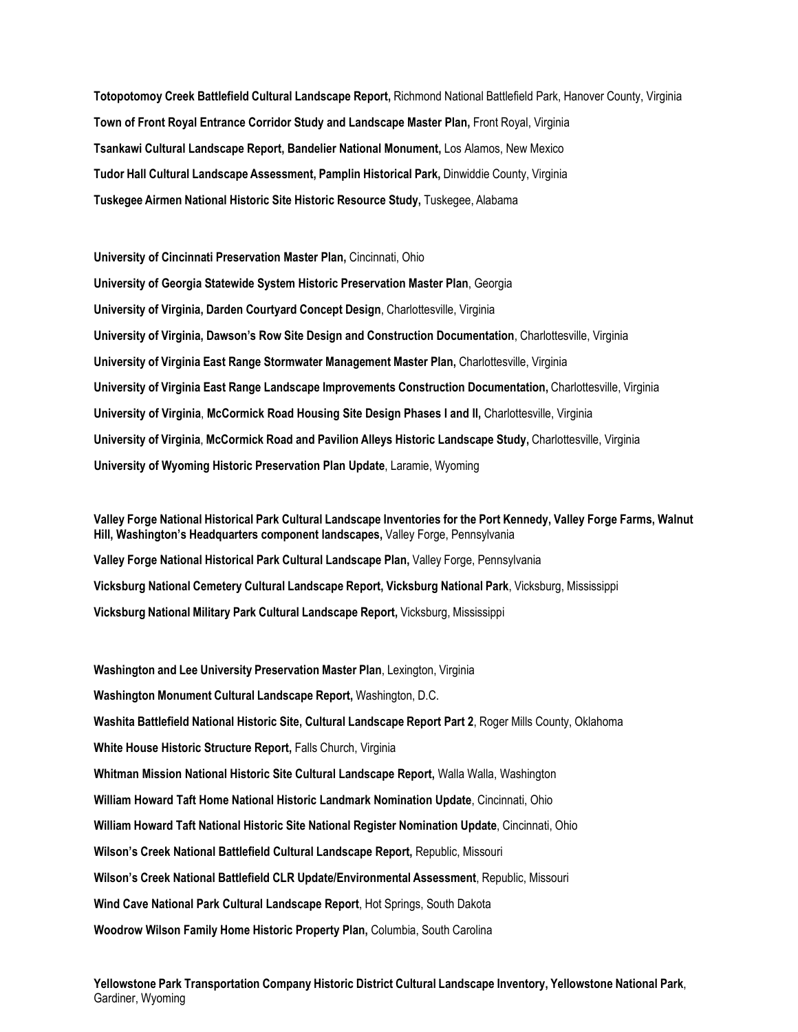**Totopotomoy Creek Battlefield Cultural Landscape Report,** Richmond National Battlefield Park, Hanover County, Virginia **Town of Front Royal Entrance Corridor Study and Landscape Master Plan,** Front Royal, Virginia **Tsankawi Cultural Landscape Report, Bandelier National Monument,** Los Alamos, New Mexico **Tudor Hall Cultural Landscape Assessment, Pamplin Historical Park,** Dinwiddie County, Virginia **Tuskegee Airmen National Historic Site Historic Resource Study,** Tuskegee, Alabama

**University of Cincinnati Preservation Master Plan,** Cincinnati, Ohio **University of Georgia Statewide System Historic Preservation Master Plan**, Georgia **University of Virginia, Darden Courtyard Concept Design**, Charlottesville, Virginia **University of Virginia, Dawson's Row Site Design and Construction Documentation**, Charlottesville, Virginia **University of Virginia East Range Stormwater Management Master Plan,** Charlottesville, Virginia **University of Virginia East Range Landscape Improvements Construction Documentation,** Charlottesville, Virginia **University of Virginia**, **McCormick Road Housing Site Design Phases I and II,** Charlottesville, Virginia **University of Virginia**, **McCormick Road and Pavilion Alleys Historic Landscape Study,** Charlottesville, Virginia **University of Wyoming Historic Preservation Plan Update**, Laramie, Wyoming

Valley Forge National Historical Park Cultural Landscape Inventories for the Port Kennedy, Valley Forge Farms, Walnut **Hill, Washington's Headquarters component landscapes,** Valley Forge, Pennsylvania **Valley Forge National Historical Park Cultural Landscape Plan,** Valley Forge, Pennsylvania **Vicksburg National Cemetery Cultural Landscape Report, Vicksburg National Park**, Vicksburg, Mississippi **Vicksburg National Military Park Cultural Landscape Report,** Vicksburg, Mississippi

**Washington and Lee University Preservation Master Plan**, Lexington, Virginia **Washington Monument Cultural Landscape Report,** Washington, D.C. **Washita Battlefield National Historic Site, Cultural Landscape Report Part 2**, Roger Mills County, Oklahoma **White House Historic Structure Report,** Falls Church, Virginia **Whitman Mission National Historic Site Cultural Landscape Report,** Walla Walla, Washington **William Howard Taft Home National Historic Landmark Nomination Update**, Cincinnati, Ohio **William Howard Taft National Historic Site National Register Nomination Update**, Cincinnati, Ohio **Wilson's Creek National Battlefield Cultural Landscape Report,** Republic, Missouri **Wilson's Creek National Battlefield CLR Update/Environmental Assessment**, Republic, Missouri **Wind Cave National Park Cultural Landscape Report**, Hot Springs, South Dakota **Woodrow Wilson Family Home Historic Property Plan,** Columbia, South Carolina